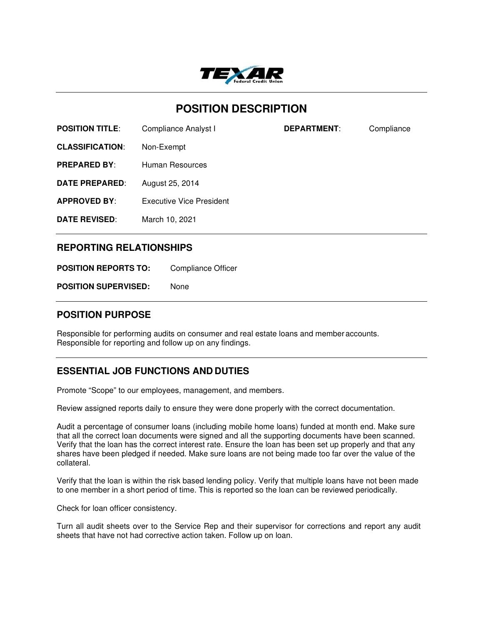

# **POSITION DESCRIPTION**

**POSITION TITLE:** Compliance Analyst I **DEPARTMENT:** Compliance

**CLASSIFICATION**: Non-Exempt

**PREPARED BY:** Human Resources

**DATE PREPARED**: August 25, 2014

**APPROVED BY**: Executive Vice President

**DATE REVISED**: March 10, 2021

## **REPORTING RELATIONSHIPS**

**POSITION REPORTS TO:** Compliance Officer

**POSITION SUPERVISED:** None

#### **POSITION PURPOSE**

Responsible for performing audits on consumer and real estate loans and member accounts. Responsible for reporting and follow up on any findings.

## **ESSENTIAL JOB FUNCTIONS AND DUTIES**

Promote "Scope" to our employees, management, and members.

Review assigned reports daily to ensure they were done properly with the correct documentation.

Audit a percentage of consumer loans (including mobile home loans) funded at month end. Make sure that all the correct loan documents were signed and all the supporting documents have been scanned. Verify that the loan has the correct interest rate. Ensure the loan has been set up properly and that any shares have been pledged if needed. Make sure loans are not being made too far over the value of the collateral.

Verify that the loan is within the risk based lending policy. Verify that multiple loans have not been made to one member in a short period of time. This is reported so the loan can be reviewed periodically.

Check for loan officer consistency.

Turn all audit sheets over to the Service Rep and their supervisor for corrections and report any audit sheets that have not had corrective action taken. Follow up on loan.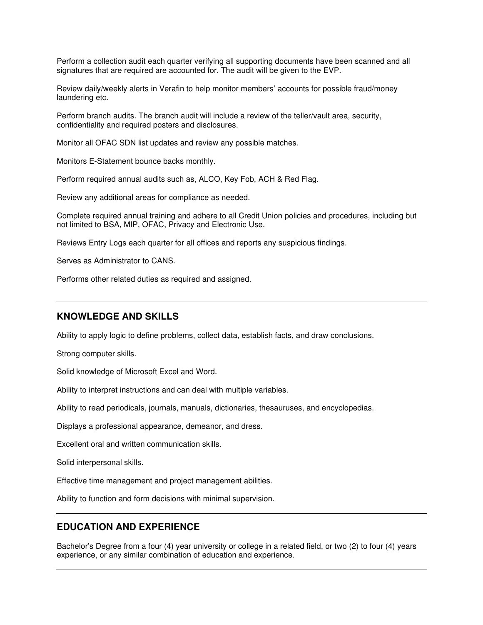Perform a collection audit each quarter verifying all supporting documents have been scanned and all signatures that are required are accounted for. The audit will be given to the EVP.

Review daily/weekly alerts in Verafin to help monitor members' accounts for possible fraud/money laundering etc.

Perform branch audits. The branch audit will include a review of the teller/vault area, security, confidentiality and required posters and disclosures.

Monitor all OFAC SDN list updates and review any possible matches.

Monitors E-Statement bounce backs monthly.

Perform required annual audits such as, ALCO, Key Fob, ACH & Red Flag.

Review any additional areas for compliance as needed.

Complete required annual training and adhere to all Credit Union policies and procedures, including but not limited to BSA, MIP, OFAC, Privacy and Electronic Use.

Reviews Entry Logs each quarter for all offices and reports any suspicious findings.

Serves as Administrator to CANS.

Performs other related duties as required and assigned.

#### **KNOWLEDGE AND SKILLS**

Ability to apply logic to define problems, collect data, establish facts, and draw conclusions.

Strong computer skills.

Solid knowledge of Microsoft Excel and Word.

Ability to interpret instructions and can deal with multiple variables.

Ability to read periodicals, journals, manuals, dictionaries, thesauruses, and encyclopedias.

Displays a professional appearance, demeanor, and dress.

Excellent oral and written communication skills.

Solid interpersonal skills.

Effective time management and project management abilities.

Ability to function and form decisions with minimal supervision.

## **EDUCATION AND EXPERIENCE**

Bachelor's Degree from a four (4) year university or college in a related field, or two (2) to four (4) years experience, or any similar combination of education and experience.